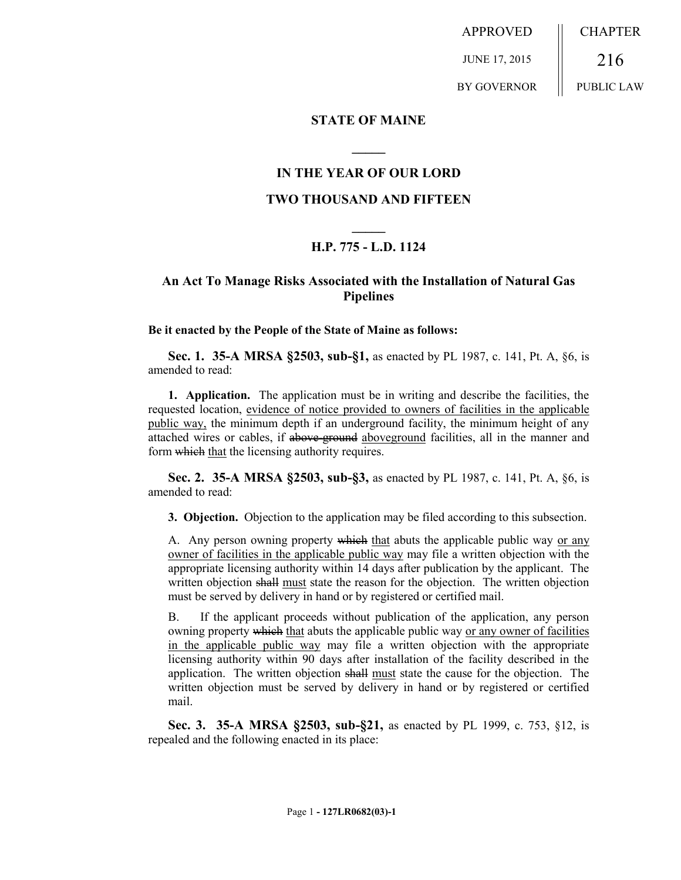APPROVED JUNE 17, 2015 BY GOVERNOR CHAPTER 216 PUBLIC LAW

#### **STATE OF MAINE**

### **IN THE YEAR OF OUR LORD**

**\_\_\_\_\_**

#### **TWO THOUSAND AND FIFTEEN**

# **\_\_\_\_\_ H.P. 775 - L.D. 1124**

## **An Act To Manage Risks Associated with the Installation of Natural Gas Pipelines**

**Be it enacted by the People of the State of Maine as follows:**

**Sec. 1. 35-A MRSA §2503, sub-§1,** as enacted by PL 1987, c. 141, Pt. A, §6, is amended to read:

**1. Application.** The application must be in writing and describe the facilities, the requested location, evidence of notice provided to owners of facilities in the applicable public way, the minimum depth if an underground facility, the minimum height of any attached wires or cables, if above-ground above ground facilities, all in the manner and form which that the licensing authority requires.

**Sec. 2. 35-A MRSA §2503, sub-§3,** as enacted by PL 1987, c. 141, Pt. A, §6, is amended to read:

**3. Objection.** Objection to the application may be filed according to this subsection.

A. Any person owning property which that abuts the applicable public way or any owner of facilities in the applicable public way may file a written objection with the appropriate licensing authority within 14 days after publication by the applicant. The written objection shall must state the reason for the objection. The written objection must be served by delivery in hand or by registered or certified mail.

B. If the applicant proceeds without publication of the application, any person owning property which that abuts the applicable public way or any owner of facilities in the applicable public way may file a written objection with the appropriate licensing authority within 90 days after installation of the facility described in the application. The written objection shall must state the cause for the objection. The written objection must be served by delivery in hand or by registered or certified mail.

**Sec. 3. 35-A MRSA §2503, sub-§21,** as enacted by PL 1999, c. 753, §12, is repealed and the following enacted in its place: